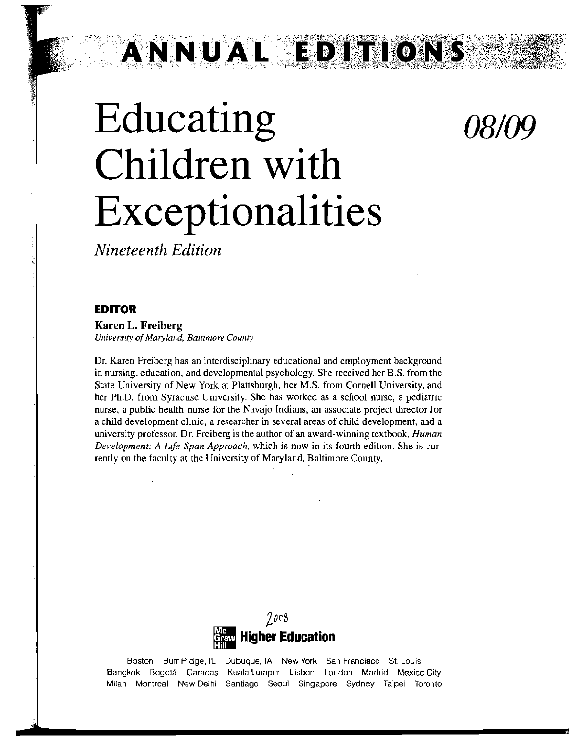# Educating Children with Exceptionalities

ANNUAL EDITIONS

*Nineteenth Edition* 

#### **EDITOR**

**Karen L. Freiberg**  *University of Maryland, Baltimore County* 

Dr. Karen Freiberg has an interdisciplinary educational and employment background in nursing, education, and developmental psychology. She received her B.S. from the State University of New York at Plattsburgh, her M.S. from Cornell University, and her Ph.D. from Syracuse University. She has worked as a school nurse, a pediatric nurse, a public health nurse for the Navajo Indians, an associate project director for a child development clinic, a researcher in several areas of child development, and a university professor. Dr. Freiberg is the author of an award-winning textbook, *Human Development: A Life-Span Approach,* which is now in its fourth edition. She is currently on the faculty at the University of Maryland, Baltimore County.



Boston Burr Ridge, lL Dubuque, lA New York San Francisco St. Louis Bangkok Bogotá Caracas Kuala Lumpur Lisbon London Madrid Mexico City Milan Montreal NewDelhi Santiago Seoul Singapore Sydney Taipei Toronto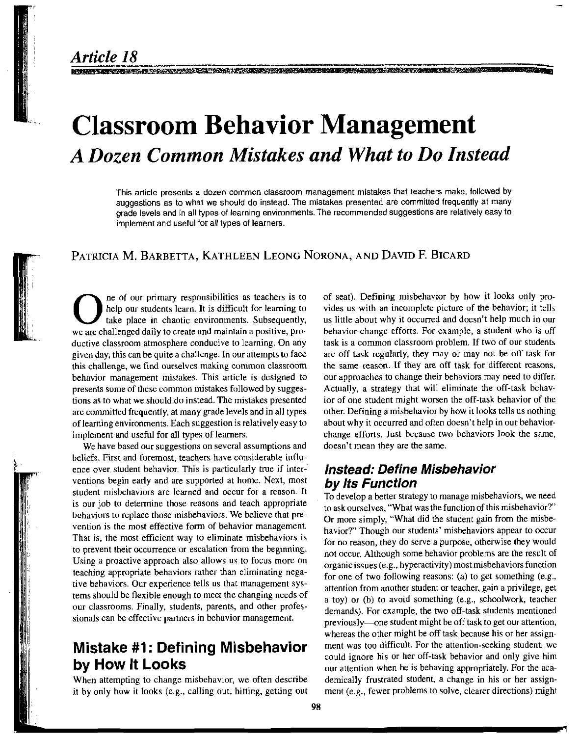## **1 Classroom Behavior Management**  *A Dozen Common Mistakes and What to Do Instead*

This article presents a dozen common classroom management mistakes that teachers make, followed by suggestions as to what we should do instead. The mistakes presented are committed frequently at many grade levels and in all types of learning environments. The recommended suggestions are relatively easy to implement and useful for all types of learners.

#### PATRICIA M. BARBETTA, KATHLEEN LEONG NORONA, AND DAVID F. BICARD

ne of our primary responsibilities as teachers is to of seat). Defining misbehavior by how it looks only pro-<br>help our students learn. It is difficult for learning to vides us with an incomplete picture of the behavior; it we **are** challenged daily to create and maintain a positive, pro- behavior-change efforts. For example, a student who is off ductive classroom atmosphere conducive to learning. On any task is a common classroom problem. If two of our students given day, this can be quite a challenge. In our attempts to face are off task regularly, they may or ma given day, this can be quite a challenge. In our attempts to face this challenge, we find ourselves making common classroom the same reason. If they are off task for different reasons, behavior management mistakes. This article is designed to our approaches to change their behaviors may need to differ.<br>presents some of these common mistakes followed by sugges-<br>Actually, a strategy that will eliminate the presents some of these common mistakes followed by suggestions as to what we should do instead. The mistakes presented ior of one student might worsen the off-task behavior of the are committed frequently, at many grade levels and in all types other. Defining amisbehavior by how it looks tells us nothing of learning environments. Each suggestion is relatively easy to about why it occurred and often doesn't help in our behaviorimplement and useful for all types of learners. change efforts. Just because two behaviors look the same,

We have based our suggestions on several assumptions and doesn't mean they are the same. beliefs. First and foremost, teachers have considerable influence over student behavior. This is particularly true if inter-**Instead: Define Misbehavior**<br>
ventions begin early and are supported at home. Next, most **hulte Eunction** ventions begin early and are supported at home. Next, most<br>student misbehaviors are learned and occur for a reason. It<br>is our job to determine those reasons and teach appropriate<br>the set ourselves "What we the function of Is our job to determine those reasons and teach appropriate to ask ourselves, "What was the function of this misbehavior?"<br>behaviors to replace those misbehaviors. We believe that pre-<br> $Q_n$  mans simply "What did the studen behaviors to replace those misbehaviors. We believe that pre-<br>vention is the most effective form of behavior management.<br>having? Thank our students' misbehaviors appear to occur That is, the most efficient way to eliminate misbehaviors is<br>to prevent their occurrence or escalation from the beginning.<br>The second Altheurh serve a purpose, otherwise they would to prevent their occurrence or escalation from the beginning.<br>Using a proactive approach also allows us to focus more on arrangial process (a a hyperactivity) most mishabaviors function Using a proacuve approach also allows us to locus more on<br>teaching appropriate behaviors rather than eliminating nega-<br>tive behaviors. Our experience tells us that management sys-<br>tems should be flexible enough to meet th our classrooms. Finally, students, parents, and other profes-<br>demands). For example, the two off-task students mentioned

## **Mistake #1: Defining Misbehavior** ment was too difficult. For the attention-seeking student, we<br>could ignore his or her off-task behavior and only give him

it by only how it looks (e.g., calling out. hitting. getting out ment (e.g., fewer problems to solve, clearer directions) might

help our students learn. It is difficult for learning to vides us with an incomplete picture of the behavior; it tells take place in chaotic environments. Subsequently, us little about why it occurred and doesn't help much in our

and a special state of the company of the company of the

havior?" Though our students' misbehaviors appear to occur sionals can be effective partners in behavior management.<br>previously—one student might be off task to get our attention, whereas the other might be off task because his or her assign**by How It Looks by How It Looks by How It Looks our attention when he** is behaving appropriately. For the aca-When attempting to change misbehavior, we often describe demically frustrated student, a change in his or her assign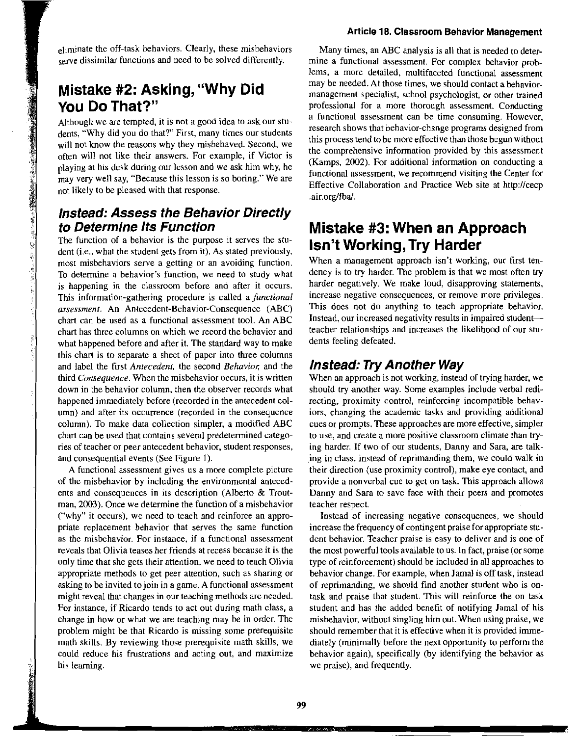eliminate the off-task behaviors. Clearly, these misbehaviors Many times, an ABC analysis is all that is needed to deter-<br>serve dissimilar functions and need to be solved differently. mine a functional assessment. For comp

「大学の大学のおいて、そのことをするので、そのことの

反映

dents, "Why did you do that?" First, many times our students research shows that behavior-change programs designed from will not know the reasons why they misbehaved. Second, we will process tend to be more effective than those begun without the reasons why they misbehaved. Second, we have been the comprehensive information provided by this often will not like their answers. For example, if Victor is the comprehensive information provided by this assessment playing at his desk during our lesson and we ask him why, he (Kamps, 2002). For additional information on conducting a<br>functional assessment, we recommend visiting the Center for  $_{\text{max}}$  very well say, "Because this lesson is so boring." We are not likely to be pleased with that response.

#### **Instead: Assess the Behavior Directly to Determine Its Function**

The function of a behavior is the purpose it serves the student (i.e., what the student gets from it). As stated previously, most misbehaviors serve a getting or an avoiding function. To delermine a behavior's function, we need to study what is happening in the classroom before and after it occurs. This information-gathering procedure is called a *functional assessment.* An Antecedent-Behavior-Consequence (ABC) chart can be used as a functional assessment tool. An ABC chart has three columns on which we record the behavior and what happened before and after it. The standard way to make this chart is to separate a sheet of paper into three columns and label the first *Antecedent,* the second *Behavioc* and the third *Consequence.* When the misbehavior occurs, it is written down in the behavior column, then the observer records what happened immediately before (recorded in the antecedent column) and after its occurrence (recorded in the consequence column). To make data collection simpler, a modified ABC chart can be used that contains several predetermined categories of teacher or peer antecedent behavior, student responses, and consequential events (See Figure 1).

A functional assessment gives us a more complete picture of the misbehavior by including the environmental antecedents and consequences in its description (Alberto & Troutman, 2003). Once we determine the function of a misbehavior ("why" it occurs), we need to teach and reinforce an appropriate replacement behavior that serves the same function as the misbehavior. For instance, if a functional assessment reveals that Olivia teases her friends at recess because it is the only time that she gets their attention, we need to teach Olivia appropriate methods to get peer attention, such as sharing or asking to be invited to join in a game. A functional assessment might reveal that changes in our teaching methods are needed. For instance, if Ricardo tends to act out during math class, a change in how or what we are teaching may be in order. The problem might be that Ricardo is missing some prerequisite math skills. By reviewing those prerequisite math skills, we could reduce his frustrations and acting out, and maximize his learning.

mine a functional assessment. For complex behavior problems, a more detailed, multifaceted functional assessment **Mistake #2: Asking, "Why Did** may be needed. At those times, we should contact a behavior-<br> **You Do That?**" professional for a more thorough assessment. Conducting management specialist, school psychologist, or other trained professional for a more thorough assessment. Conducting a functional assessment can be time consuming. However, Although we are tempted, it is not a good idea to ask our stu-<br>research shows that behavior-change programs designed from Effective Collaboration and Practice Web site at http://cecp .air.org/fba/.

#### **Mistake #3: When an Approach Isn't Working, Try Harder**

When a management approach isn't working, our first tendency is to try harder. The problem is that we most often try harder negatively. We make loud, disapproving statements, increase negative consequences, or remove more privileges. This does not do anything to teach appropriate behavior. Instead, our increased negativity results in impaired studentteacher relationships and increases the likelihood of our students feeling defeated.

#### **Instead: Try Another Way**

When an approach is not working. instead of trying harder, we should try another way. Some examples include verbal redirecting, proximity control, reinforcing incompatible behaviors, changing the academic tasks and providing additional cues or prompts. These approaches are more effective, simpler to use, and create a more positive classroom climate than trying harder. If two of our students, Danny and Sara, are talk- .ing in class, instead of reprimanding them, we could walk in their direction (use proximity control), make eye contact, and provide a nonverbal cue to get on task. This approach allows Danny and Sara to save face with their peers and promotes teacher respect.

Instead of increasing negative consequences, we should increase the frequency of contingent praiseforappropriate student behavior. Teacher praise is easy to deliver and is one of the most powerful tools available to us. In fact, praise (or some type of reinforcement) should be included in all approaches to behavior change. For example, when Jamal is off task, instead of reprimanding, we should find another student who is ontask and praise that student. This will reinforce the on task student and has the added benefit of notifying Jamal of his misbehavior, without singling him out. When using praise, we should remember that it is effective when it is provided immediately (minimally before the next opportunity to perform the behavior again), specifically (by identifying the behavior as we praise), and frequently.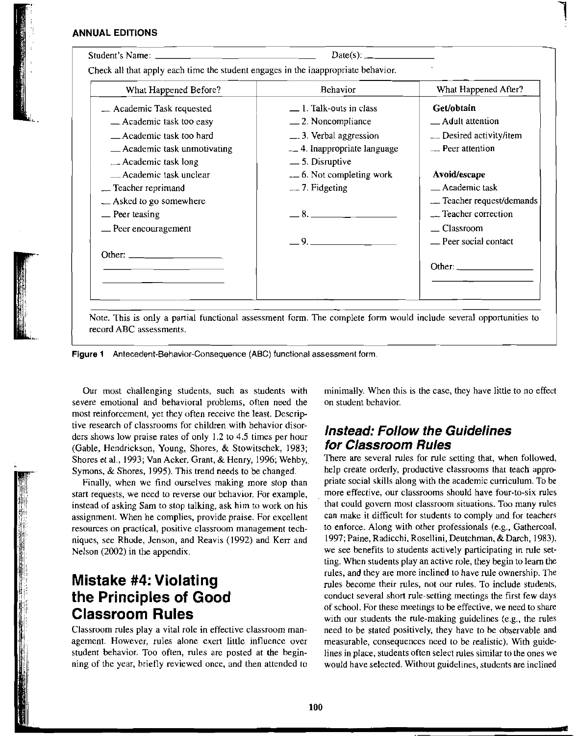| What Happened Before?                                                           | Behavior                       | What Happened After?     |
|---------------------------------------------------------------------------------|--------------------------------|--------------------------|
| - Academic Task requested                                                       | $\equiv$ 1. Talk-outs in class | Get/obtain               |
| - Academic task too easy                                                        | $\_\_2$ . Noncompliance        | _Adult attention         |
| - Academic task too hard                                                        | $\equiv$ 3. Verbal aggression  | __ Desired activity/item |
| $\equiv$ Academic task unmotivating                                             | - 4. Inappropriate language    | $\equiv$ Peer attention  |
| -Academic task long                                                             | $=$ 5. Disruptive              |                          |
| -Academic task unclear                                                          | $-6$ . Not completing work     | Avoid/escape             |
| Teacher reprimand                                                               | $-7.$ Fidgeting                | - Academic task          |
| -Asked to go somewhere                                                          |                                |                          |
| $=$ Peer teasing                                                                |                                | - Teacher correction     |
| _Peer encouragement                                                             |                                | $\equiv$ Classroom       |
|                                                                                 |                                | - Peer social contact    |
| Other: $\frac{1}{\sqrt{1-\frac{1}{2}} \cdot \frac{1}{2}}$                       |                                |                          |
| the contract of the contract of the contract of the contract of the contract of |                                | Other: $\sqrt{ }$        |

Note. This is only a partial functional assessment form. The complete form would include several opportunities to record ARC assessments.

**Figure 1** Antecedent-Behavior-Consequence (ABC) functional assessment form

severe emotional and behavioral problems, often need the on student behavior. most reinforcement, yet they often receive the least. Descriptive research of classrooms for children with behavior disorders shows low praise rates of only 1.2 to 4.5 times per hour (Gable, Hendrickson, Young, Shores, & Stowitschek, 1983; Shores el al., 1993; Van Acker, Grant, & Henry, 1996; Wehby, Symons, & Shores, 1995). This trend needs to be changed.

Finally, when we find ourselves making more stop than start requests, we need to reverse our behavior. For example, instead of asking Sam to stop talking, ask him to work on his assignment. When he complies, provide praise. For excellent resources on practical, positive classroom management techniques, see Rhode, Jenson, and Reavis (1992) and Kerr and Nelson (2002) in the appendix.

### **Mistake #4: Violating the Principles of Good Classroom Rules**

Classroom rules play a vital role in effective classroom management. However, rules alone exert little influence over student behavior. Too often, rules are posted at the beginning of the year, briefly reviewed once, and then attended to

Our most challenging students, such as students with minimally. When this is the case, they have little to no effect

#### **Instead: Follow the Guidelines for Classroom Rules**

There are several rules for rule setting that, when followed, help create orderly, productive classrooms that teach appropriate social skills along with the academic curriculum. To be more effective, our classrooms should have four-to-six rules that could govern most classroom situations. Too many rules can make it difficult for students to comply and for teachers to enforce. Along with other professionals (e.g.. Gathercoal, 1997; Paine, Radicchi, Rosellini, Deutchman, & Darch, 1983), we see benefits to students actively participating in rule setting. When students play an active role. they begin to learn the rules, and they are more inclined to have rule ownership. The rules become their rules, not our rules. To include students, conduct several short rule-setting meetings the first few days of school. For these meetings to be effective. we need to share with our students the rule-making guidelines (e.g., the rules need to be stated positively, they have to be observable and measurable, consequences need to be realistic). With guidelines in place, students often select rules similar to the ones we would have selected. Without guidelines, students are inclined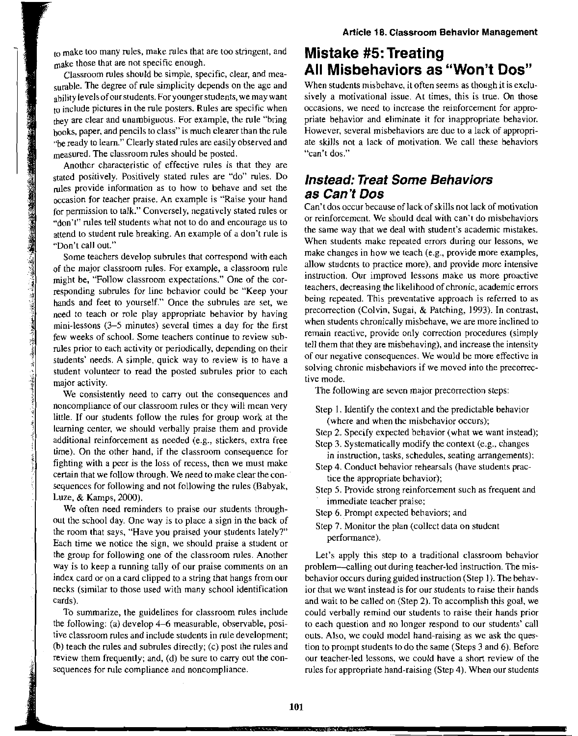to make too many rules, make rules that are too stringent, and make those that are not specific enough.

Classroom rules should be simple, specific, clear, and measurable. The degree of rule simplicity depends on the age and ability levels of our students. For younger students, we may want to include pictures in the rule posters. Rules are specific when they are clear and unambiguous. For example, the rule "bring hooks, paper, and pencils to class" is much clearer than the rule "be ready to learn." Clearly stated rules are easily observed and measured. The classroom rules should he posted.

Another characteristic of effective rules is that they are stated positively. Positively stated rules are "do" rules. Do rules provide information as to how to behave and set the occasion for teacher praise. An example is "Raise your hand for permission to talk." Conversely, negatively stated rules or "don't" rules tell students what not to do and encourage us to attend to student rule breaking. An example of a don't rule is "Don't call out."

Some teachers develop subrules that correspond with each of the major classroom ruIes. For example, a classroom rule might be, "Follow classroom expectations." One of the corresponding subrules for line behavior could be "Keep your hands and feet to yourself." Once the subrules are set, we need to teach or role play appropriate behavior by having mini-lessons (3-5 minutes) several times a day for the first few weeks of school. Some teachers continue to review suhrules prior to each activity or periodically, depending on their students' needs. **A** simple, quick way to review is to have a student volunteer to read the posted subrules prior to each major activity.

We consistently need to carry out the consequences and noncompliance of our classroom rules or they will mean very little. If our students follow the rules for group work at the learning center, we should verbally praise them and provide additional reinforcement as needed (e.g., stickers, extra free time). On the other hand, if the classroom consequence for fighting with a peer is the loss of recess, then we must make certain that we follow through. We need to make clear the consequences for following and not following the rules (Babyak, Luze. & Kamps, 2000).

We often need reminders to praise our students throughout the school day. One way is to place a sign in the back of the room that says, "Have you praised your students lately?" Each time we notice the sign, we should praise a student or the group for following one of the classroom rules. Another way is to keep a running tally of our praise comments on an index card or on a card clipped to a string that hangs from our necks (similar to those used with many school identification cards).

To summarize, the guidelines for classroom rules include the following: (a) develop 4-6 measurable, observable, positive classroom rules and include students in rule development; (h) teach the rules and subrules directly; (c) post the rules and review them frequently; and, (d) be sure to carry out the consequences for rule compliance and noncompliance.

### **Mistake #5: Treating All Misbehaviors as "Won't Dos"**

When students misbehave, it often seems as though it is exclusively a motivational issue. At times, this is true. On those occasions, we need to increase the reinforcement for appropriate behavior and eliminate it for inappropriate behavior. However, several misbehaviors are due to a lack of appropriate skills not a lack of motivation. We call these behaviors "can't dos."

#### **Instead: Treat Some Behaviors as Can't Dos**

Can't dos occur because of lack of skills not lack of motivation or reinforcement. We should deal with can'l do misbehaviors the same way that we deal with student's academic mistakes. When students make repeated errors during our lessons, we make changes in how we teach (e.g., provide more examples, allow students to practice more), and provide more intensive instruction. Our improved lessons make us more proactive teachers, decreasing the likelihood of chronic, academic errors being repeated. This preventative approach is referred to as precorrection (Colvin. Sugai, & Patching, 1993). In contrast, when students chronically misbehave, we are more inclined to remain reactive, provide only correction procedures (simply tell them that they are misbehaving), and increase the intensity of our negative consequences. We would be more effective in solving chronic misbehaviors if we moved into the precorrective mode.

The following are seven major precorrection steps:

- Step 1. Identify the context and the predictable behavior (where and when the misbehavior occurs);
- Step 2. Specify expected behavior (what we want instead); Step **3.** Systematically modify the context (e.g.. changes
- in instruction, tasks, schedules, seating arrangements);
- Step 4. Conduct behavior rehearsals (have students practice the appropriate behavior);
- Step 5. Provide strong reinforcement such as frequent and immediate teacher praise;
- Step 6. Prompt expected hehaviors; and
- Step 7. Monitor the plan (collect data on student performance).

Let's apply this step to a traditional classroom behavior problem--calling out during teacher-led instruction. The misbehavior occurs during guided instruction (Step I). The behavior that we want instead is for our students to raise their hands and wait to be called on (Step 2). To accomplish this goal, we could verbally remind our students to raise their hands prior to each question and no longer respond to our students' call outs. Also, we could model hand-raising as we ask the question to prompt students todo the same (Steps 3 and 6). Before our teacher-led lessons, we could have a short review of the rules for appropriate hand-raising (Step 4). When our students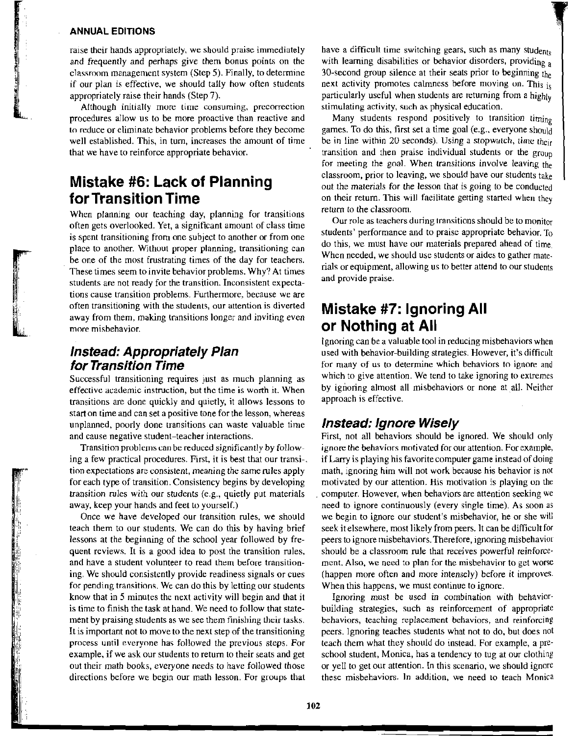raise their hands appropriately, we should praise immediately and frequently and perhaps give them bonus points on the classroom management system (Step 5). Finally, to determine if our plan is effective, we should tally how often students appropriately raise their hands (Step 7).

Although initially more time consuming, prccorrection procedures allow us to be more proactive than reactive and to reduce or eliminate behavior problems before they become well established. This, in turn, increases the amount of time that we have to reinforce appropriate behavior.

#### **Mistake #6: Lack of Planning for Transition Time**

When planning our teaching day, planning for transitions often gets overlooked. Yet, a significant amount of class time is spent transitioning from one subject to another or from one place to another. Without proper planning, transitioning can he one of the most frustrating times of the day for teachers. These times seem to invite behavior problems. Why? At times students are not ready for the transition. Inconsistent expectations cause transition problems. Furthermore, because we are often transitioning with the students, our attention is diverted away from them. making transitions longer and inviting even more misbehavior.

#### **Instead: Appropriately Plan for Transition Time**

Successful transitioning requires just as much planning as effective academic instruction, but thc time is worth it. When transitions are done quickly and quietly, it allows lessons to start on time and can set a positive tone for the lesson, whereas unplanned, poorly done transitions can waste valuable time and cause negative student-teacher interactions.

Transition problemscan be reduced significantly by following a few practical procedures. First, it is best that our transi-. tion expectations are consistent, meaning the same rules apply for each type of transition. Consistency begins by developing transition rules with our students (e.g., quietly put materials away, keep your hands and feet to yourself.)

Once we have developed our transition rules. we should teach them to our students. We can do this by having brief lessons at the beginning of the school year followed by frequent reviews. It is a good idea to post the transition rules. and have a student volunteer to read them before transitioning. We should consistently provide readiness signals or cues for pending transitions. We can do this by letting our students know that in 5 minutes the next activity will begin and that it is time to finish the task at hand. We need to follow that statement by praising students as we see them finishing their tasks. It is important not to move to the next step of the transitioning process until everyone has followed the previous steps. For example, if we ask our students to return to their seats and get out their math books, everyone needs to have followed those directions before we begin our math lesson. For groups that

have a difficult time switching gears, such as many students with learning disabilities or behavior disorders, providing a 30-second group silence at their seats prior to beginning  $t_{ba}$ next activity promotes calmness before moving on. This is particularly useful when students are returning from a highly stimulating activity, such as physical education.

Many students respond positively to transition timing games. To do this, first set a time goal (e.g.. everyone should be in line within 20 seconds). Using a stopwatch, time their transition and then praise individual students or the group for meeting the goal. When transitions involve leaving the classroom, prior to leaving, we should have our students take out the materials for the lesson that is going to be condueted on their return. This will facilitate getting started when they return to the classroom.

Our role as teachers during transitions should be to monitor students' performance and to praise appropriate behavior. To do this, we must have our materials prepared ahead of time, When needed, we should use students or aides to gather mate. rials or equipment, allowing us to better attend to our students and provide praise.

#### **Mistake #7: lgnoring All or Nothing at All**

Ignoring can be a valuable tool in reducing misbehaviors when used with behavior-building strategies. However, it's difficult for many of us to determine which behaviors to ignore and which to give attention. We tend to take ignoring to extremes by ignoring almost all misbehaviors or none at all. Neither approach is effective.

#### **Instead: Ignore Wisely**

First, not all behaviors should be ignored. We should only ignore the behaviors motivated for our attention. For example, if Larry is playing his favorite computer game instead of doing math, ignoring him will not work because his behavior is not motivated by our attention. His motivation is playing on the computer. However, when behaviors are attention seeking we need to ignore continuously (every single time). As soon as we begin to ignore our student's misbehavior, he or she will seek itelsewhere, most likely from peers. It can be difficult for peers to ignore misbehaviors.Therefore, ignoring misbehaviur should be a classroom rule that receives powerful reinforcemcnt. Also, we need to plan for the misbehavior to get worse (happen more often and more intensely) before it improves-When this happens, we must eontinue to ignore.

Ignoring must be used in combination with behaviorbuilding strategies, such as reinforcement of appropriate behaviors, teaching replacement behaviors, and reinforcing peers. lgnoring teaches students what not to do, but does not teach them what they should do instead. For example, a preschool student, Monica, has a tendency to tug at our clothing or yell to get our attention. In this scenario, we should ignore these misbehaviors. In addition, we need to teach Monica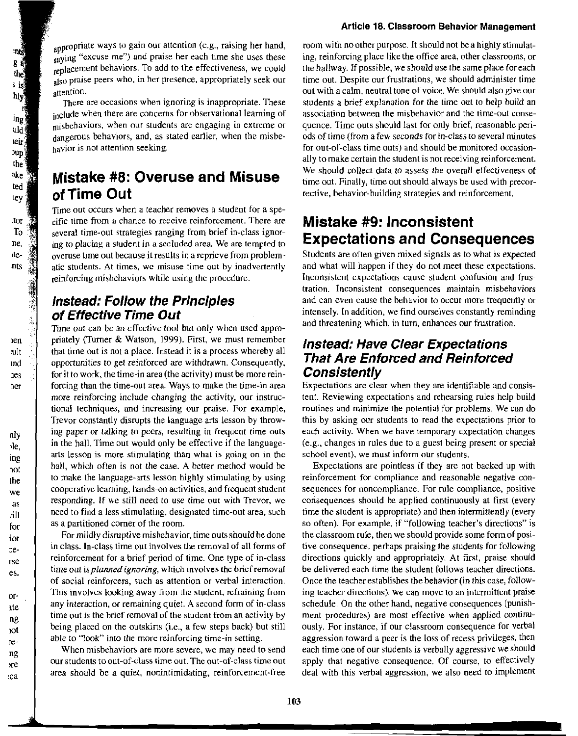#### **Article 18. Classroom Behavior Management**

appropriate ways to gain our attention (e.g., raising her hand, caving "excuse me") and praise her each time she uses these replacement behaviors. To add to the effectiveness, we could also praise peers who, in her presence, appropriately seek our attention.

There are occasions when ignoring is inappropriate. These include when there are concerns for observational learning of misbehaviors, when our students are engaging in extreme or dangerous behaviors, and, as stated earlier, when the misbehavior is not attention seeking.

#### **Mistake #8: Overuse and Misuse of Time Out**

Time out occurs when a teacher removes a student for a specific time from a chance to rcccive reinforcement. There are several time-out strategies ranging from brief in-class ignoring to placing a student in a secluded area. We are tempted to overuse time out because it results in a reprieve from problematic students. At times, wc misuse time out by inadvertently reinforcing misbehaviors while using the procedure.

#### **Instead: Follow the Principles of Effective Time Out**

ien :ult ~nd 7es her  $\frac{1}{2}$ 

ានើ Rй the  $\cdot$  is:

hly

ing uld ! teir **Jup** the ake ted 1ey

itor To ne. ite**nts** 뭺

nly  $n$ le, ing lot the we as iill for ior 3erse es.

orate ng lot reng )re :ca

Time out can be an effective tool but only when used appro-Time out can be an effective tool but only when used appropriately (Turner & Watson, 1999). First, we must remember that time out is not a place. Instead it is a process whereby all opportunities to get reinforced are withdrawn. Consequently, for it to work, the time-in area (the activity) must be more reinforcing than the time-out area. Ways to make the time-in area more reinforcing include changing the activity, our instructional techniques, and increasing our praise. For example, Trevor constantly disrupts the language arts lesson by throwing paper or talking to peers, resulting in frequent time outs in the hall. Time out would only be effective if the languagearts lesson is more stimulating than whal is going on in the hall, which often is not the case. A better method would be to make the language-arts lesson highly stimulating by using cooperative learning, hands-on activities, and frequent student responding. If we still need to use time out with Trcvor, wc need to find a less stimulating, designated time-out area, such as a partitioned comer of the room.

For mildly disruptive misbehavior, time outs should be done in class. In-class time out involves the removal of all forms of reinforcement for a brief period of time. One type of in-class time out is *planned ignoring*, which involves the brief removal of social reinforcers, such as attention or verbal interaction. 'lhis involves looking away from the student, refraining from any interaction, or remaining quiet. A second form of in-class time out is the brief removal of the student from an activity by being placed on the outskirts (i.e., a few steps back) but still able to "look" into the more reinforcing time-in setting.

When misbehaviors are more severe, we may need to send our students to out-of-class time out. The out-of-class time out area should be a quiet, nonintimidating, reinforcement-free room with no other purpose. It should not be a highly stimulating, reinforcing place like the office area, other classrooms, or the hallway. If possible, we should use the same place foreach time out. Despite our frustrations, we should administer time out with a calm, neutral tone of voice. We should also give our students a brief explanation for the time out to help build an association between the misbehavior and the time-out conxequence. Time outs should last for only brief, reasonable periods of time (from a few seconds for in-class to several nunutes for out-of-class time outs) and should be monitored occasionally to make certain the student is not receiving reinforcement. We should collect data to assess the overall effectiveness of time out. Finally, time out should always be used with precorrective, behavior-building strategies and reinforcement.

#### **Mistake #9: Inconsistent Expectations and Consequences**

Students are often given mixed signals as to what is expected and what will happen if they do not meet these expectations. Inconsistent expectations cause student confusion and frustration. lnconsistent consequences maintain misbehaviors and can even cause the behavior to occur more frequently or intensely. In addition, we find ourselves constantly reminding and threatening which, in turn, enhances our trustration.

#### **Instead: Have Clear Expectations That Are Enforced and Reinforced Consistently**

Expectations are clear when they are identifiable and consistent. Reviewing expectations and rehearsing rules help build routines and minimize the potential for problems. We can do this by asking our students to read the expectations prior to each activity. When we have temporary expectation changes (e.g., changes in rules due to a guest being present or special school event), we must inform our students.

Expectations are pointless if they are not backed up with reinforcement for compliance and reasonable negative consequences for noncompliance. For rule compliance, positive consequences should he applied continuously at first (every time the student is appropriate) and then intermittently (every so often). For example, if "following teacher's directions" is the classroom rule, then we should provide some form of positive consequence, perhaps praising the students for following directions quickly and appropriately. At first, praise should be delivered each time the student follows teacher directions. Once the teacher establishes the behavior (in this case, following teacher directions), we can move to an intermittent praise schedule. On the other hand, negative consequences (punishment procedures) are most effective when applied continuously. For instance, if our classroom consequence for verbal aggression toward a peer is the loss of recess privileges, then each time one of our students is verbally aggressive we should apply that negative consequence. Of course, to effectively deal with this verbal aggression, we also need to implement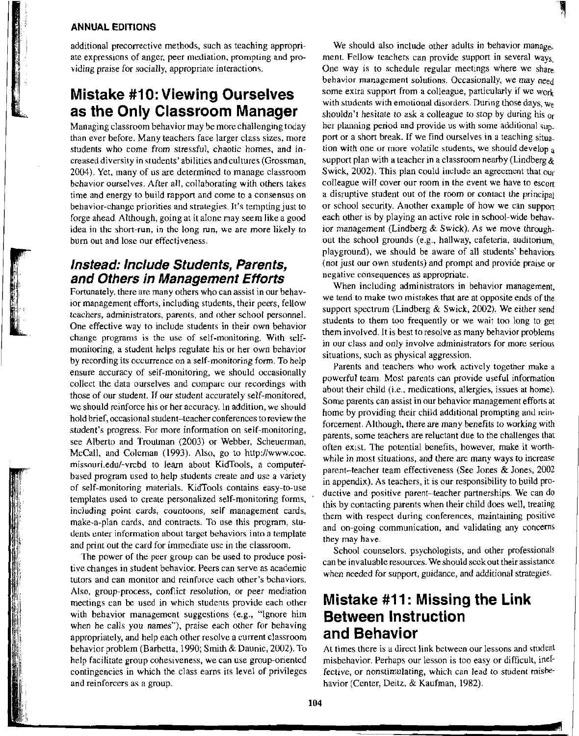additional precorrective methods, such as teaching appropriate expressions of anger, peer mediation, prompting and providing praise for socially, appropriate interactions.

#### **Mistake #lo: Viewing Ourselves as the Only Classroom Manager**

Managing classroom behavior may be more challenging today than ever before. Many teachers face larger class sizes, more students who come from stressful, chaotic homes, and increased diversity in students' abilities andcultures (Grossman, 2004). Yet, many of us are determined to manage classroom behavior ourselves. After all, collaborating with others takes time and energy to build rapport and come to a consensus on behavior-change priorities and strategies. It's tempting just to forge ahead Although, going at it alone may seem like a good idea in the short-run, in thc long run, we are more likely to burn out and lose our effectiveness.

## *Instead: Include Students, Parents, and Others in Management Efforts*

Fortunately, there are many others who can assist in our behavior management efforts, including students, their peers, fellow tcachcrs, administrators, parents, and other school personnel. One effective way to include students in their own behavior change programs is the use of self-monitoring. With selfmonitoring, a student helps regulate his or her own behavior by recording its occurrence on a self-monitoring form. To help ensure accuracy of self-monitoring, we should occasionally collect the data ourselves and compare our recordings with those of our student. If our student accurately self-monitored, we should reinforce his or her accuracy. In addition, we should hold brief, occasional student-teacher conferences to review the student's progress. For more information on self-monitoring, see Alberto and Troutman (2003) or Webber, Scheuerman. McCall, and Coleman (1993). Also, go to http://www.coe. missouri.edu/-vrcbd to learn about KidTools, a computeibased program used to help students create and use a variety of self-monitoring materials. KidTools contains easy-to-use templates used to create personalized self-monitoring forms, including point cards, countoons, self management cards, make-a-plan cards. and contracts. To use this program, students enter information about target behaviors into a template and print out the card for immediate use in the classroom.

The power of the peer group can be used to produce positive changes in student behavior. Peers can serve as academic tutors and can monitor and reinforce each other's bchaviors. Also, group-process, conflict resolution, or peer mediation meetings can be used in which students provide each other **Mistake #11: Missing the Link** with behavior management suggestions (e.g., "Ignore him **Between Instruction** with behavior management suggestions (e.g., "Ignore him **Between Instruction** when he calls you names"), praise each other for behaving **and Behavior** appropriately, and help each other resolve a current classroom behavior problem (Barbetta, 1990; Smith & Daunic, 2002). To At times there ia a direct link bctwecn our lessons and student help facilitate group cohesiveness, we can use group-onented misbehavior. Perhaps our lesson is too easy or difficult, inefcontingencies in which the class earns its level of privileges fective, or nonstimulating, which can lead to student misheand reinforcers as a group. havior (Center, Deitz. & Kaufman, 1982).

We should also include other adults in behavior manage. ment. Fellow teachers can provide support in several ways One way is to schedule regular meetings where we share behavior management solutions. Occasionally, we may need some extra support from a colleague, particularly if we work with students with emotional disorders. During those days, we shouldn't hesitate to ask a colleague to stop by during his or her planning period and provide us with some additional sup. port or a short break. If we find ourselves in a teaching situa. lion with one or more volatilc students, we should develop **<sup>a</sup>** support plan with a teacher in a classroom nearby (Lindberg  $\&$ Swick, 2002). This plan could include an agreement that our colleague will cover our room in the event we have to escort a disruptive student out of the room or contact the principal or school security. Another example of how we can support each other is by playing an active role in school-wide behavior management (Lindberg & Swick). As we move throughout the school grounds (e.g., hallway, cafeteria, auditorium, playground), we should be aware of all students' behaviors (not just our own students) and prompt and provide praise or negative consequences as appropriate.

When including administrators in behavior management, we tend to make two mistakes that are at opposite ends of the support spectrum (Lindberg & Swick, 2002). We either send students to them too frequently or we wait too long to get them involved. It is best to resolve as many behavior problems in our class and only involve administrators for more serious situations, such as physical aggression.

Parents and teachers who work activcly together make a powerful team Most parents can provide useful information about their child (i.e., medications, allergies, issues at home). Some parents can assist in our behavior management efforts at home by providing their child additional prompting and reinforcement. Although, thereare many benefits to working with parents, some teachers are reluctant due to the challenges that often exist. The potential benefits, however, make it worthwhile in most situations, and there are many ways to increase parent-teacher team effectiveness (See Jones & Jones, 2002 in appendix). As teachers, it is our responsibility to build productive and positive parent-teacher partnerships. We can do this by contacting parents when their child does well, treating them with respect during conferences, maintaining positive and on-going communication, and validating any concerns they may have.

School counselors, psychologists, and other professionals can be invaluable resources. We should scckout their assistance when needed for support, guidance, and additional strategies.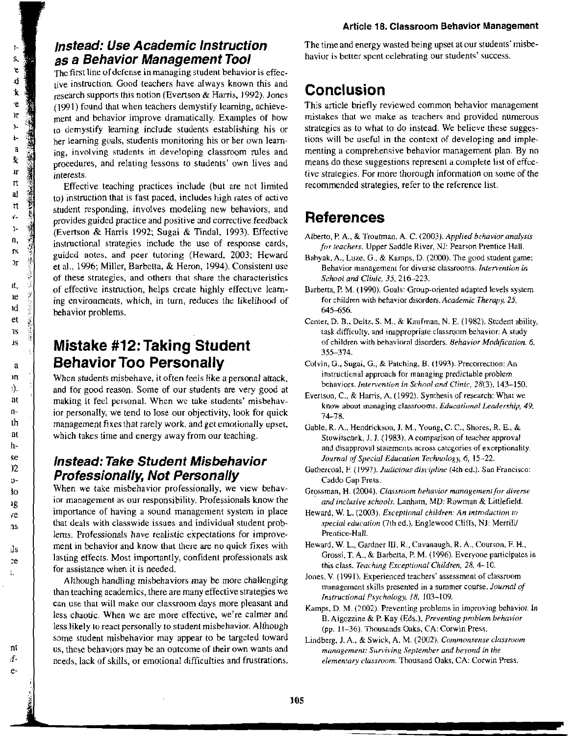#### , **Instead: Use Academic Instruction**  <sup>1</sup>**as a Behavior Management Tool**

r

 $\frac{3}{2}$ S.  $\mathbf{r}$  $\mathbf d$  $\mathbf k$ 'e Iŗ.  $\mathbf{v}$  $\ddot{\mathbf{r}}$  $\mathbf{a}$  $\mathbf{k}$  $15$  $\mathfrak{r}$ ية<br>وفيات al  $\mathfrak n$  $\mathbf{r}$  $1-$ Λ,  $\overline{rs}$  $\mathbf{r}$ 

it. **ie** ıd  $et$  $15$ 15

a ١'n ۱Ì. at nth at hse  $\overline{2}$ b- $\mathbf{10}$ ıg ye  $n<sub>s</sub>$ 

Лs he Ł.

nt if $e<sub>1</sub>$ 

The first line of defense in managing student behavior is effective instruction. Good teachers have always known this and  $rese$ exearch supports this notion (Evertson & Harris, 1992). Jones (1991) found that when teachers demystify learning, achievement and behavior improve dramatically. Examples of how to demystify leaming include students establishing his or her learning goals, students monitoring his or her own learning, involving students in developing classroom rules and procedures, and relating lessons to students' own lives and interests.

Effective teaching practices include (but are not limited to) instruction that is fast paced, includes high rates of active student responding, involves modeling new behaviors, and provides guided practice and positive and corrective feedback (Evertson & Harris 1992; Sugai & Tindal. 1993). Effective instructional strategies include the use of response cards, guidcd notes, and peer tutoring (Heward, 2003; Heward et **a]..** 1996; Miller, Barbetta, & Heron, 1994). Consistent use of these stratcgics, and others that share the characteristics of effective instruction, helps create highly effective learning environments, which, in turn, reduces the likelihood of behavior problems.

#### **Mistake #12: Taking Student Behavior Too Personally**

When students misbehave, it often feels like a personal attack, and for good reason. Some of our students are very good at making it feel personal. When we take students' misbehavior personally, we tend to lose our objectivity, look for quick management fixes that rarely work, and get emotionally upset, which takes time and energy away from our teaching.

#### **Instead: Take Student Misbehavior Professionally, Not Personally**

When we take misbehavior professionally, we view behavior management as our responsibility. Professionals know the importance of having a sound management system in place that deals with classwide issues and individual student problems. Professionals have realistic expectations for improvement in behavior and know that there **are** no quick fixes with lasting effects. Most importantly, confident professionals ask for assistance when it is needed.

Although handling misbehaviors may be more challenging than teaching academics, there are many effective strategies we can use that will make our classroom days more pleasant and less chaotic. When we are more effective, we're calmer and less likely to react personally to student misbehavior. Although some student misbehavior may appear to be targeted toward us, these behaviors may **be** an outcome 01 their own wants and needs, lack of skills, or emotional difficulties and frustrations.

The time and energy wasted being upset at our students' misbehavior is better spent cclebrating our students' success.

### **Conclusion**

This article briefly reviewed common behavior management mistakes that we make as teachers and provided numerous strategies as to what to do instead. We believe these suggestions will be useful in the context of developing and implementing a comprehensive behavior management plan. By no means do these suggestions represent a complete list of effcctive strategies. For more thorough information on some of the recommended strategies, refer to the reference list.

#### **References**

- Alberto, P. A., & Troutman, A. C. (2003). *Applied behavior analysis for teachers.* Upper Saddle River, NJ: Pearson Prentice Hall.
- Bahyak. A., **Luze,** G., & Kamps, D. (2000). The good student game: Behavior management for diverse classrooms. *Intervention in School ard Clinic, 35.* 216-223.
- Barbetta, P. M. (1990). Goals: Group-oriented adapted levels system for children with behavior disorders. *Academic Therapy*, 25, 645-656.
- Center, D. B., Deitz, S. M., & Kaufman, N. E. (1982). Student ability, task &fficulty, and inappropriate classroom behavior: A study of children with behavioral disorders. *Behavior Mndficarion.* 6, 355-374.
- Colvin, G., Sugai, G., & Patching, B. (1993). Precorrection: An instructional approach for managing predictable problem behaviors. *lnlsrvrntian* in *School and Clinic,* 28(3). 143-150.
- Evertsun, C., & Harris, A. (1992). Synthesis of research: What we know about managing classrooms. *Educational Leadership*, 49, 74-78.
- Gable, R. A., Hendrickson, J. M., Young, C. C., Shores, R. E., & Stowitschek. 1.1. (1983). Acomparison of teacher approval and disapproval statements across categories of exceptionality. *Journal* of *Special Education Technology, 6,* 15-22.
- Gathercoal, F. (1997). Judicious discipline (4th ed.). San Francisco: Caddo Gap Press.
- Grossman, H. (2004). *Classroom behavior management for diverse and inclusive schoolr.* Lanham, *MD:* Ruwman & Littlefield.
- Heward, W. L. (2003). *Exceptional children: An introduction to special education* (7th ed.). Englewood Cliffs, NJ: Merrill/ Prentice-Hall.
- Heward, W. L., Gardner III, R., Cavanaugh, R. A., Courson, F. H., Grossi, T. A., & Barbetta, P. M. (1996). Everyone participates in this class. *Teaching Erceprional Children, 28, 4-10.*
- Jones, **V** (1991). Experienced teachers' assessment of classroom management skills presented in a summer course. *Journal of In~cructional P.~ychology,* 18, 103-109.
- Kamps, D. M. (2002). Preventing problems in improving behavior. In B. Algozzine & P. Kay (Eds.), *Preventing pmblem behal'ior*  (pp. *11-36)* Thousands Oaks. CA: Corwin Press.
- Lindberg, J. A., & Swick, A. M. (2002). *Commonsense classroom management: Stanriving Seplemher orrd beyorrd* **in** *the elementary clos,~room.* Thousand Oaks. CA: Corwin Press.